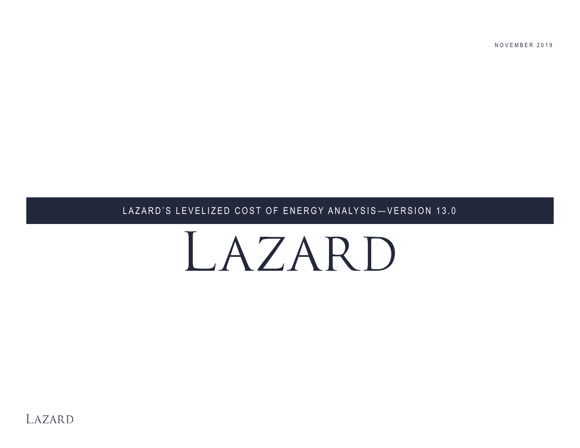LAZARD'S LEVELIZED COST OF ENERGY ANALYSIS-VERSION 13.0

NOVEMBER 2019

# LAZARD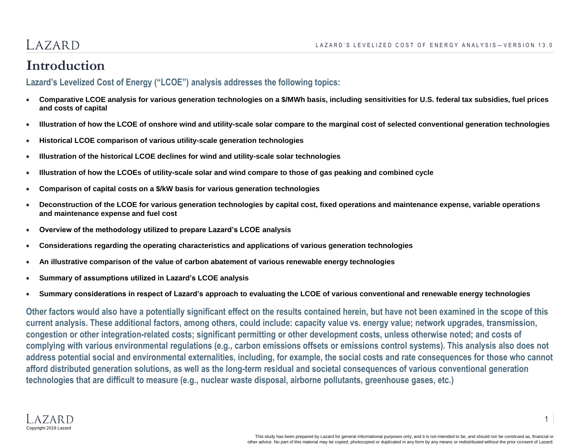#### LAZARD

#### **Introduction**

#### **Lazard's Levelized Cost of Energy ("LCOE") analysis addresses the following topics:**

- **Comparative LCOE analysis for various generation technologies on a \$/MWh basis, including sensitivities for U.S. federal tax subsidies, fuel prices and costs of capital**
- **Illustration of how the LCOE of onshore wind and utility-scale solar compare to the marginal cost of selected conventional generation technologies**
- **Historical LCOE comparison of various utility-scale generation technologies**
- **Illustration of the historical LCOE declines for wind and utility-scale solar technologies**
- **Illustration of how the LCOEs of utility-scale solar and wind compare to those of gas peaking and combined cycle**
- **Comparison of capital costs on a \$/kW basis for various generation technologies**
- **Deconstruction of the LCOE for various generation technologies by capital cost, fixed operations and maintenance expense, variable operations and maintenance expense and fuel cost**
- **Overview of the methodology utilized to prepare Lazard's LCOE analysis**
- **Considerations regarding the operating characteristics and applications of various generation technologies**
- **An illustrative comparison of the value of carbon abatement of various renewable energy technologies**
- **Summary of assumptions utilized in Lazard's LCOE analysis**
- **Summary considerations in respect of Lazard's approach to evaluating the LCOE of various conventional and renewable energy technologies**

**Other factors would also have a potentially significant effect on the results contained herein, but have not been examined in the scope of this**  current analysis. These additional factors, among others, could include: capacity value vs. energy value; network upgrades, transmission, **congestion or other integration-related costs; significant permitting or other development costs, unless otherwise noted; and costs of complying with various environmental regulations (e.g., carbon emissions offsets or emissions control systems). This analysis also does not address potential social and environmental externalities, including, for example, the social costs and rate consequences for those who cannot afford distributed generation solutions, as well as the long-term residual and societal consequences of various conventional generation technologies that are difficult to measure (e.g., nuclear waste disposal, airborne pollutants, greenhouse gases, etc.)**

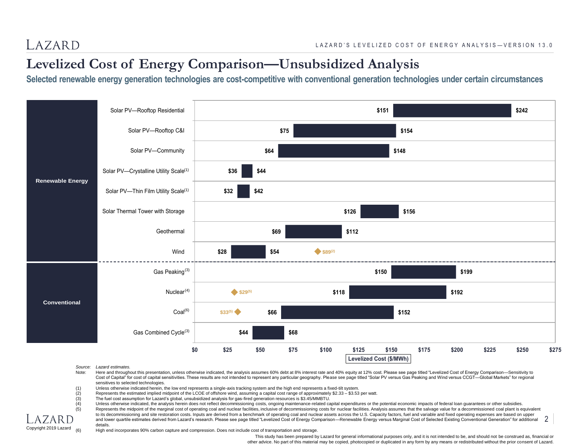## **Levelized Cost of Energy Comparison—Unsubsidized Analysis**

**Selected renewable energy generation technologies are cost-competitive with conventional generation technologies under certain circumstances**



#### *Source: Lazard estimates.*

Copyright 2019 Lazard

- Note: Here and throughout this presentation, unless otherwise indicated, the analysis assumes 60% debt at 8% interest rate and 40% equity at 12% cost. Please see page titled "Levelized Cost of Energy Comparison-Sensitivity Cost of Capital" for cost of capital sensitivities. These results are not intended to represent any particular geography. Please see page titled "Solar PV versus Gas Peaking and Wind versus CCGT—Global Markets" for regiona sensitives to selected technologies.
- (1) Unless otherwise indicated herein, the low end represents a single-axis tracking system and the high end represents a fixed-tilt system.
- (2) Represents the estimated implied midpoint of the LCOE of offshore wind, assuming a capital cost range of approximately \$2.33 \$3.53 per watt.
- (3) The fuel cost assumption for Lazard's global, unsubsidized analysis for gas-fired generation resources is \$3.45/MMBTU.
- (4) Unless otherwise indicated, the analysis herein does not reflect decommissioning costs, ongoing maintenance-related capital expenditures or the potential economic impacts of federal loan guarantees or other subsidies.<br>
- Represents the midpoint of the marginal cost of operating coal and nuclear facilities, inclusive of decommissioning costs for nuclear facilities. Analysis assumes that the salvage value for a decommissioned coal plant is e to its decommissioning and site restoration costs. Inputs are derived from a benchmark of operating coal and nuclear assets across the U.S. Capacity factors, fuel and variable and fixed operating expenses are based on uppe
- and lower quartile estimates derived from Lazard's research. Please see page titled "Levelized Cost of Energy Comparison—Renewable Energy versus Marginal Cost of Selected Existing Conventional Generation" for additional details. 2
- (6) High end incorporates 90% carbon capture and compression. Does not include cost of transportation and storage.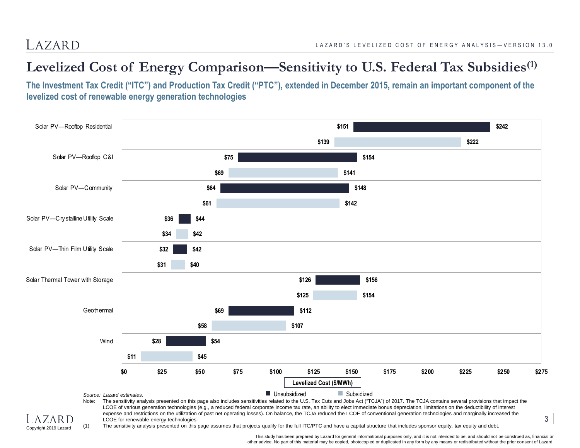#### **Levelized Cost of Energy Comparison—Sensitivity to U.S. Federal Tax Subsidies(1)**

**The Investment Tax Credit ("ITC") and Production Tax Credit ("PTC"), extended in December 2015, remain an important component of the levelized cost of renewable energy generation technologies**





(1) The sensitivity analysis presented on this page assumes that projects qualify for the full ITC/PTC and have a capital structure that includes sponsor equity, tax equity and debt.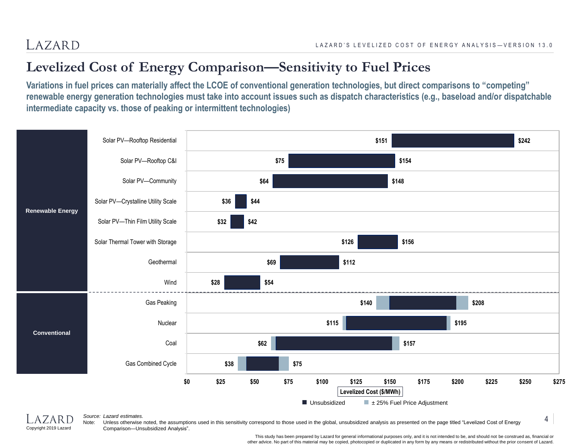### **Levelized Cost of Energy Comparison—Sensitivity to Fuel Prices**

**Variations in fuel prices can materially affect the LCOE of conventional generation technologies, but direct comparisons to "competing" renewable energy generation technologies must take into account issues such as dispatch characteristics (e.g., baseload and/or dispatchable intermediate capacity vs. those of peaking or intermittent technologies)**





#### *Source: Lazard estimates.*

Note: Unless otherwise noted, the assumptions used in this sensitivity correspond to those used in the global, unsubsidized analysis as presented on the page titled "Levelized Cost of Energy Comparison—Unsubsidized Analysis".

> This study has been prepared by Lazard for general informational purposes only, and it is not intended to be, and should not be construed as, financial or other advice. No part of this material may be copied, photocopied or duplicated in any form by any means or redistributed without the prior consent of Lazard.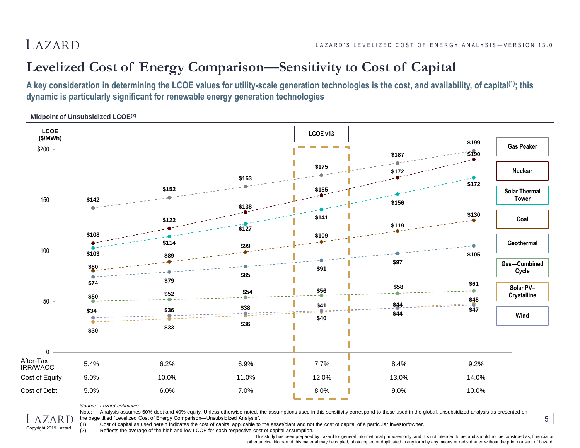#### **Levelized Cost of Energy Comparison—Sensitivity to Cost of Capital**

**A key consideration in determining the LCOE values for utility-scale generation technologies is the cost, and availability, of capital(1) ; this dynamic is particularly significant for renewable energy generation technologies**

**Midpoint of Unsubsidized LCOE(2)**



*Source: Lazard estimates.*

Copyright 2019 Lazard

Note: Analysis assumes 60% debt and 40% equity. Unless otherwise noted, the assumptions used in this sensitivity correspond to those used in the global, unsubsidized analysis as presented on the page titled "Levelized Cost of Energy Comparison—Unsubsidized Analysis".

(1) Cost of capital as used herein indicates the cost of capital applicable to the asset/plant and not the cost of capital of a particular investor/owner.<br>(2) Reflects the average of the high and low LCOE for each respecti

Reflects the average of the high and low LCOE for each respective cost of capital assumption.

This study has been prepared by Lazard for general informational purposes only, and it is not intended to be, and should not be construed as, financial or other advice. No part of this material may be copied, photocopied or duplicated in any form by any means or redistributed without the prior consent of Lazard.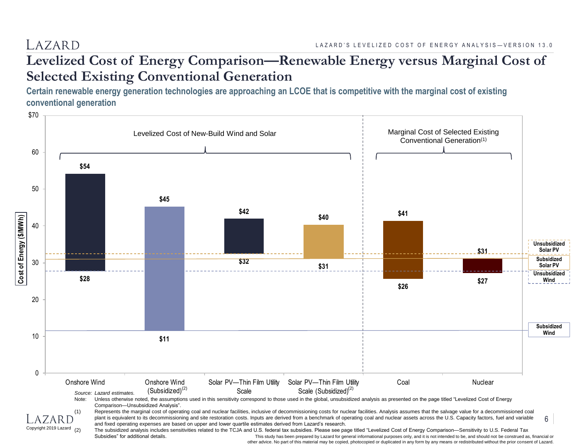#### **Levelized Cost of Energy Comparison—Renewable Energy versus Marginal Cost of Selected Existing Conventional Generation**

**Certain renewable energy generation technologies are approaching an LCOE that is competitive with the marginal cost of existing conventional generation**



other advice. No part of this material may be copied, photocopied or duplicated in any form by any means or redistributed without the prior consent of Lazard.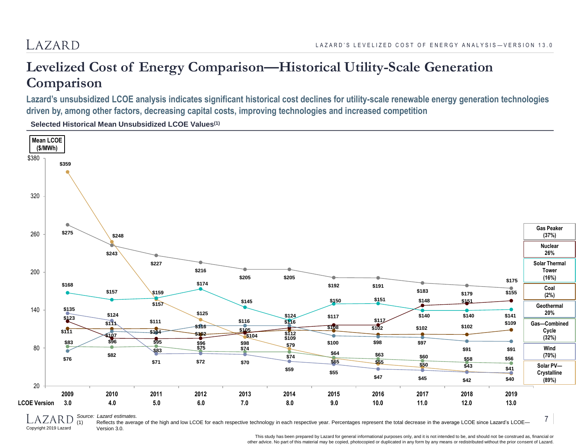#### LAZARD

#### **Levelized Cost of Energy Comparison—Historical Utility-Scale Generation Comparison**

**Lazard's unsubsidized LCOE analysis indicates significant historical cost declines for utility-scale renewable energy generation technologies driven by, among other factors, decreasing capital costs, improving technologies and increased competition** 

**Selected Historical Mean Unsubsidized LCOE Values(1)**



*Source: Lazard estimates.*

Copyright 2019 Lazard

Reflects the average of the high and low LCOE for each respective technology in each respective year. Percentages represent the total decrease in the average LCOE since Lazard's LCOE-Version 3.0.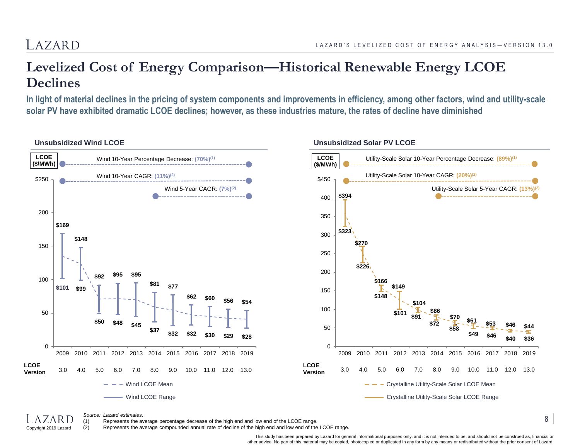#### LAZARD

#### **Levelized Cost of Energy Comparison—Historical Renewable Energy LCOE Declines**

**In light of material declines in the pricing of system components and improvements in efficiency, among other factors, wind and utility-scale solar PV have exhibited dramatic LCOE declines; however, as these industries mature, the rates of decline have diminished**



*Source: Lazard estimates.*

Copyright 2019 Lazard

(1) Represents the average percentage decrease of the high end and low end of the LCOE range.

(2) Represents the average compounded annual rate of decline of the high end and low end of the LCOE range.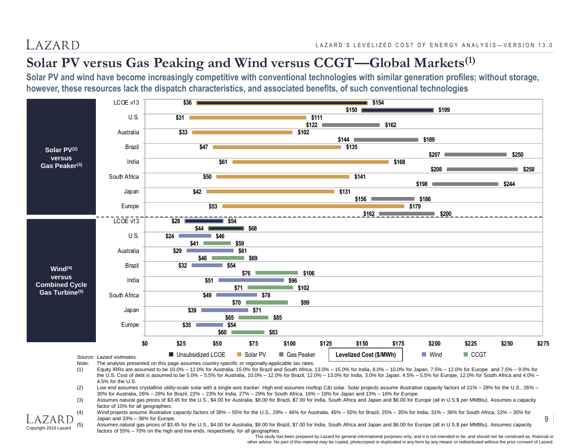Copyright 2019 Lazard

#### **Solar PV versus Gas Peaking and Wind versus CCGT—Global Markets(1)**

**Solar PV and wind have become increasingly competitive with conventional technologies with similar generation profiles; without storage, however, these resources lack the dispatch characteristics, and associated benefits, of such conventional technologies**



Note: The analysis presented on this page assumes country-specific or regionally-applicable tax rates.

(1) Equity IRRs are assumed to be 10.0% – 12.0% for Australia, 15.0% for Brazil and South Africa, 13.0% – 15.0% for India, 8.0% – 10.0% for Japan, 7.5% – 12.0% for Europe and 7.5% – 9.0% for the U.S. Cost of debt is assumed to be 5.0% – 5.5% for Australia, 10.0% – 12.0% for Brazil, 12.0% – 13.0% for India, 3.0% for Japan, 4.5% – 5.5% for Europe, 12.0% for South Africa and 4.0% – 4.5% for the U.S.

(2) Low end assumes crystalline utility-scale solar with a single-axis tracker. High end assumes rooftop C&I solar. Solar projects assume illustrative capacity factors of 21% – 28% for the U.S., 26% – 30% for Australia, 26% – 28% for Brazil, 22% – 23% for India, 27% – 29% for South Africa, 16% – 18% for Japan and 13% – 16% for Europe.

- (3) Assumes natural gas prices of \$3.45 for the U.S., \$4.00 for Australia, \$8.00 for Brazil, \$7.00 for India, South Africa and Japan and \$6.00 for Europe (all in U.S.\$ per MMBtu). Assumes a capacity factor of 10% for all geographies.
- Wind projects assume illustrative capacity factors of 38% 55% for the U.S., 29% 46% for Australia, 45% 55% for Brazil, 25% 35% for India, 31% 36% for South Africa, 22% 30% for Japan and 33% – 38% for Europe.

Assumes natural gas prices of \$3.45 for the U.S., \$4.00 for Australia, \$8.00 for Brazil, \$7.00 for India, South Africa and Japan and \$6.00 for Europe (all in U.S.\$ per MMBtu). Assumes capacity factors of 55% – 70% on the high and low ends, respectively, for all geographies.

This study has been prepared by Lazard for general informational purposes only, and it is not intended to be, and should not be construed as, financial or other advice. No part of this material may be copied, photocopied or duplicated in any form by any means or redistributed without the prior consent of Lazard.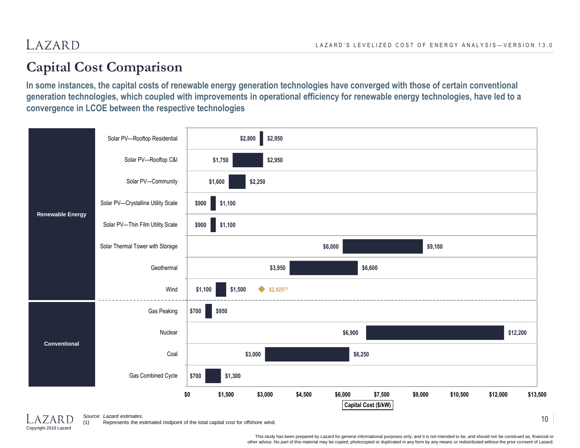#### **Capital Cost Comparison**

**In some instances, the capital costs of renewable energy generation technologies have converged with those of certain conventional generation technologies, which coupled with improvements in operational efficiency for renewable energy technologies, have led to a convergence in LCOE between the respective technologies**



Copyright 2019 Lazard

*Source: Lazard estimates.*

(1) Represents the estimated midpoint of the total capital cost for offshore wind.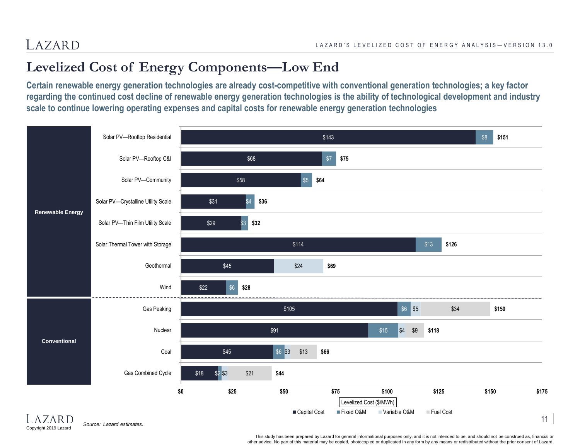## **Levelized Cost of Energy Components—Low End**

**Certain renewable energy generation technologies are already cost-competitive with conventional generation technologies; a key factor regarding the continued cost decline of renewable energy generation technologies is the ability of technological development and industry scale to continue lowering operating expenses and capital costs for renewable energy generation technologies**



*Source: Lazard estimates.*

Copyright 2019 Lazard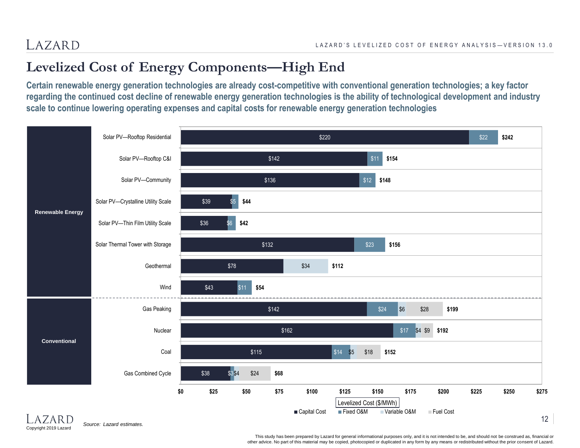## **Levelized Cost of Energy Components—High End**

**Certain renewable energy generation technologies are already cost-competitive with conventional generation technologies; a key factor regarding the continued cost decline of renewable energy generation technologies is the ability of technological development and industry scale to continue lowering operating expenses and capital costs for renewable energy generation technologies**

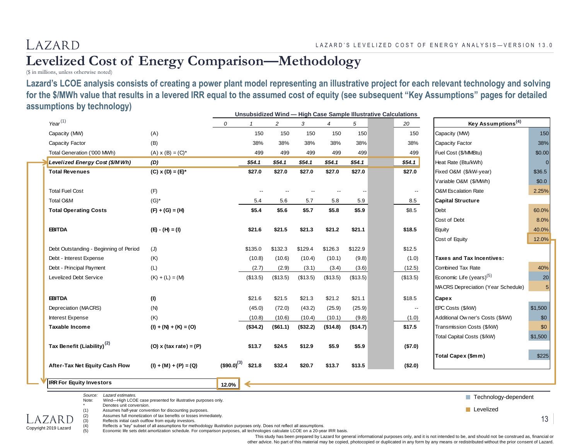#### **Levelized Cost of Energy Comparison—Methodology**

(\$ in millions, unless otherwise noted)

**Lazard's LCOE analysis consists of creating a power plant model representing an illustrative project for each relevant technology and solving for the \$/MWh value that results in a levered IRR equal to the assumed cost of equity (see subsequent "Key Assumptions" pages for detailed assumptions by technology) Unsubsidized Wind — High Case Sample Illustrative Calculations**

|                                        |                                                                                                                            |                      |          |          |          |          |          | Unsubsidized wind — High Case Sample Illustrative Calculations |                                      |         |
|----------------------------------------|----------------------------------------------------------------------------------------------------------------------------|----------------------|----------|----------|----------|----------|----------|----------------------------------------------------------------|--------------------------------------|---------|
| $Year^{(1)}$                           |                                                                                                                            | 0                    |          | 2        | 3        | 4        | 5        | 20                                                             | Key Assumptions <sup>(4)</sup>       |         |
| Capacity (MW)                          | (A)                                                                                                                        |                      | 150      | 150      | 150      | 150      | 150      | 150                                                            | Capacity (MW)                        | 150     |
| Capacity Factor                        | (B)                                                                                                                        |                      | 38%      | 38%      | 38%      | 38%      | 38%      | 38%                                                            | Capacity Factor                      | 38%     |
| Total Generation ('000 MWh)            | $(A)$ x $(B) = (C)^*$                                                                                                      |                      | 499      | 499      | 499      | 499      | 499      | 499                                                            | Fuel Cost (\$/MMBtu)                 | \$0.00  |
| Levelized Energy Cost (\$/MWh)         | (D)                                                                                                                        |                      | \$54.1   | \$54.1   | \$54.1   | \$54.1   | \$54.1   | \$54.1                                                         | Heat Rate (Btu/kWh)                  |         |
| <b>Total Revenues</b>                  | $(C)$ x $(D) = (E)^*$                                                                                                      |                      | \$27.0   | \$27.0   | \$27.0   | \$27.0   | \$27.0   | \$27.0                                                         | Fixed O&M (\$/kW-year)               | \$36.5  |
|                                        |                                                                                                                            |                      |          |          |          |          |          |                                                                | Variable O&M (\$/MWh)                | \$0.0   |
| <b>Total Fuel Cost</b>                 | (F)                                                                                                                        |                      |          |          |          |          |          | $\overline{\phantom{a}}$                                       | <b>O&amp;M Escalation Rate</b>       | 2.25%   |
| Total O&M                              | $(G)$ *                                                                                                                    |                      | 5.4      | 5.6      | 5.7      | 5.8      | 5.9      | 8.5                                                            | <b>Capital Structure</b>             |         |
| <b>Total Operating Costs</b>           | $(F) + (G) = (H)$                                                                                                          |                      | \$5.4    | \$5.6    | \$5.7    | \$5.8    | \$5.9    | \$8.5                                                          | Debt                                 | 60.0%   |
|                                        |                                                                                                                            |                      |          |          |          |          |          |                                                                | Cost of Debt                         | 8.0%    |
| <b>EBITDA</b>                          | $(E) - (H) = (I)$                                                                                                          |                      | \$21.6   | \$21.5   | \$21.3   | \$21.2   | \$21.1   | \$18.5                                                         | Equity                               | 40.0%   |
|                                        |                                                                                                                            |                      |          |          |          |          |          |                                                                | Cost of Equity                       | 12.0%   |
| Debt Outstanding - Beginning of Period | (J)                                                                                                                        |                      | \$135.0  | \$132.3  | \$129.4  | \$126.3  | \$122.9  | \$12.5                                                         |                                      |         |
| Debt - Interest Expense                | (K)                                                                                                                        |                      | (10.8)   | (10.6)   | (10.4)   | (10.1)   | (9.8)    | (1.0)                                                          | <b>Taxes and Tax Incentives:</b>     |         |
| Debt - Principal Payment               | (L)                                                                                                                        |                      | (2.7)    | (2.9)    | (3.1)    | (3.4)    | (3.6)    | (12.5)                                                         | <b>Combined Tax Rate</b>             | 40%     |
| Levelized Debt Service                 | $(K) + (L) = (M)$                                                                                                          |                      | (\$13.5) | (\$13.5) | (\$13.5) | (\$13.5) | (\$13.5) | (\$13.5)                                                       | Economic Life (years) <sup>(5)</sup> |         |
|                                        |                                                                                                                            |                      |          |          |          |          |          |                                                                | MACRS Depreciation (Year Schedule)   |         |
| <b>EBITDA</b>                          | (1)                                                                                                                        |                      | \$21.6   | \$21.5   | \$21.3   | \$21.2   | \$21.1   | \$18.5                                                         | Capex                                |         |
| Depreciation (MACRS)                   | (N)                                                                                                                        |                      | (45.0)   | (72.0)   | (43.2)   | (25.9)   | (25.9)   | $\overline{\phantom{a}}$                                       | EPC Costs (\$/kW)                    | \$1,500 |
| Interest Expense                       | (K)                                                                                                                        |                      | (10.8)   | (10.6)   | (10.4)   | (10.1)   | (9.8)    | (1.0)                                                          | Additional Owner's Costs (\$/kW)     | \$0     |
| Taxable Income                         | $(I) + (N) + (K) = (O)$                                                                                                    |                      | (\$34.2) | (\$61.1) | (\$32.2) | (\$14.8) | (\$14.7) | \$17.5                                                         | Transmission Costs (\$/kW)           | \$0     |
|                                        |                                                                                                                            |                      |          |          |          |          |          |                                                                | Total Capital Costs (\$/kW)          | \$1,500 |
| Tax Benefit (Liability) <sup>(2)</sup> | $(O)$ x (tax rate) = $(P)$                                                                                                 |                      | \$13.7   | \$24.5   | \$12.9   | \$5.9    | \$5.9    | (\$7.0)                                                        |                                      |         |
|                                        |                                                                                                                            |                      |          |          |          |          |          |                                                                | Total Capex (\$mm)                   | \$225   |
| After-Tax Net Equity Cash Flow         | $(I) + (M) + (P) = (Q)$                                                                                                    | $($ \$90.0) $^{(3)}$ | \$21.8   | \$32.4   | \$20.7   | \$13.7   | \$13.5   | (\$2.0)                                                        |                                      |         |
|                                        |                                                                                                                            |                      |          |          |          |          |          |                                                                |                                      |         |
| <b>IRR For Equity Investors</b>        |                                                                                                                            | 12.0%                |          |          |          |          |          |                                                                |                                      |         |
| Source:<br>Lazard estimates.           |                                                                                                                            |                      |          |          |          |          |          |                                                                | Technology-dependent                 |         |
| Note:<br>Denotes unit conversion.      | Wind-High LCOE case presented for illustrative purposes only.                                                              |                      |          |          |          |          |          |                                                                | $\blacksquare$ Levelized             |         |
| (1)<br>(2)<br>AZARD                    | Assumes half-year convention for discounting purposes.<br>Assumes full monetization of tax benefits or losses immediately. |                      |          |          |          |          |          |                                                                |                                      |         |

(3) Reflects initial cash outflow from equity investors.

Copyright 2019 Lazard

(4) Reflects a "key" subset of all assumptions for methodology illustration purposes only. Does not reflect all assumptions.

(5) Economic life sets debt amortization schedule. For comparison purposes, all technologies calculate LCOE on a 20-year IRR basis.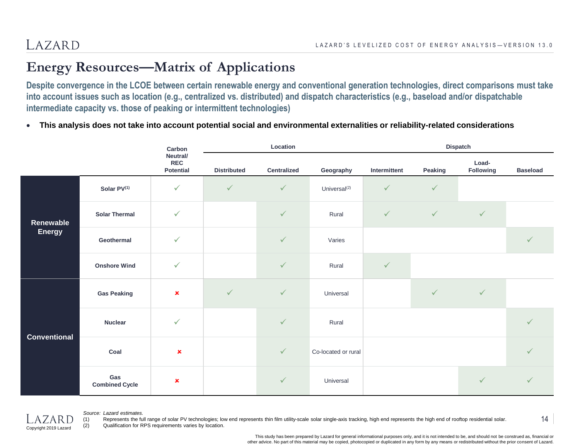#### **Energy Resources—Matrix of Applications**

**Despite convergence in the LCOE between certain renewable energy and conventional generation technologies, direct comparisons must take into account issues such as location (e.g., centralized vs. distributed) and dispatch characteristics (e.g., baseload and/or dispatchable intermediate capacity vs. those of peaking or intermittent technologies)**

**This analysis does not take into account potential social and environmental externalities or reliability-related considerations**

|                                                                                                                                                                                                                         | Carbon                       |                                            |                    | Location           |                                                                                                                                         | Dispatch |              |                    |                 |
|-------------------------------------------------------------------------------------------------------------------------------------------------------------------------------------------------------------------------|------------------------------|--------------------------------------------|--------------------|--------------------|-----------------------------------------------------------------------------------------------------------------------------------------|----------|--------------|--------------------|-----------------|
|                                                                                                                                                                                                                         |                              | Neutral/<br><b>REC</b><br><b>Potential</b> | <b>Distributed</b> | <b>Centralized</b> | Geography<br>$\checkmark$<br>Universal <sup>(2)</sup><br>$\checkmark$<br>Rural<br>Varies<br>$\checkmark$<br>Rural<br>Universal<br>Rural |          | Peaking      | Load-<br>Following | <b>Baseload</b> |
|                                                                                                                                                                                                                         | Solar PV(1)                  | $\checkmark$                               | $\checkmark$       | $\checkmark$       |                                                                                                                                         |          | $\checkmark$ |                    |                 |
| $\checkmark$<br>$\checkmark$<br>$\checkmark$<br>$\checkmark$<br><b>Solar Thermal</b><br>Renewable<br><b>Energy</b><br>$\checkmark$<br>$\checkmark$<br>Geothermal<br>$\checkmark$<br>$\checkmark$<br><b>Onshore Wind</b> |                              |                                            |                    |                    |                                                                                                                                         |          |              |                    |                 |
|                                                                                                                                                                                                                         |                              | $\checkmark$                               |                    |                    |                                                                                                                                         |          |              |                    |                 |
|                                                                                                                                                                                                                         |                              |                                            |                    |                    |                                                                                                                                         |          | $\sqrt{}$    |                    |                 |
|                                                                                                                                                                                                                         | <b>Gas Peaking</b>           | $\pmb{\times}$                             | $\checkmark$       | $\checkmark$       |                                                                                                                                         |          |              | $\checkmark$       |                 |
|                                                                                                                                                                                                                         | <b>Nuclear</b>               | $\checkmark$                               |                    | $\checkmark$       | Intermittent<br>Co-located or rural<br>$\checkmark$<br>Universal                                                                        |          | $\checkmark$ |                    |                 |
| <b>Conventional</b>                                                                                                                                                                                                     | Coal                         | $\pmb{\times}$                             |                    | $\checkmark$       |                                                                                                                                         |          |              |                    | $\checkmark$    |
|                                                                                                                                                                                                                         | Gas<br><b>Combined Cycle</b> | $\mathbf x$                                |                    | $\checkmark$       |                                                                                                                                         |          |              |                    | $\checkmark$    |



#### *Source: Lazard estimates.*

(1) Represents the full range of solar PV technologies; low end represents thin film utility-scale solar single-axis tracking, high end represents the high end of rooftop residential solar. (2) Qualification for RPS requirements varies by location.

> This study has been prepared by Lazard for general informational purposes only, and it is not intended to be, and should not be construed as, financial or other advice. No part of this material may be copied, photocopied or duplicated in any form by any means or redistributed without the prior consent of Lazard.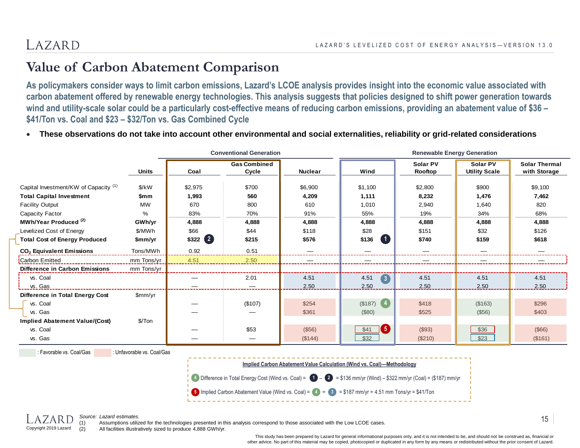#### **Value of Carbon Abatement Comparison**

**As policymakers consider ways to limit carbon emissions, Lazard's LCOE analysis provides insight into the economic value associated with carbon abatement offered by renewable energy technologies. This analysis suggests that policies designed to shift power generation towards wind and utility-scale solar could be a particularly cost-effective means of reducing carbon emissions, providing an abatement value of \$36 – \$41/Ton vs. Coal and \$23 – \$32/Ton vs. Gas Combined Cycle**

**These observations do not take into account other environmental and social externalities, reliability or grid-related considerations**

|                                                  |               | <b>Conventional Generation</b> |                              |                | <b>Renewable Energy Generation</b>        |                     |                                  |                                      |  |
|--------------------------------------------------|---------------|--------------------------------|------------------------------|----------------|-------------------------------------------|---------------------|----------------------------------|--------------------------------------|--|
|                                                  | <b>Units</b>  | Coal                           | <b>Gas Combined</b><br>Cycle | <b>Nuclear</b> | Wind                                      | Solar PV<br>Rooftop | Solar PV<br><b>Utility Scale</b> | <b>Solar Thermal</b><br>with Storage |  |
| Capital Investment/KW of Capacity <sup>(1)</sup> | $\frac{K}{W}$ | \$2,975                        | \$700                        | \$6,900        | \$1,100                                   | \$2,800             | \$900                            | \$9,100                              |  |
| <b>Total Capital Investment</b>                  | \$mm          | 1,993                          | 560                          | 4,209          | 1,111                                     | 8,232               | 1,476                            | 7,462                                |  |
| <b>Facility Output</b>                           | <b>MW</b>     | 670                            | 800                          | 610            | 1,010                                     | 2,940               | 1,640                            | 820                                  |  |
| Capacity Factor                                  | %             | 83%                            | 70%                          | 91%            | 55%                                       | 19%                 | 34%                              | 68%                                  |  |
| MWh/Year Produced <sup>(2)</sup>                 | GWh/yr        | 4,888                          | 4,888                        | 4,888          | 4,888                                     | 4,888               | 4,888                            | 4,888                                |  |
| Levelized Cost of Energy                         | \$/MWh        | \$66                           | \$44                         | \$118          | \$28                                      | \$151               | \$32                             | \$126                                |  |
| <b>Total Cost of Energy Produced</b>             | \$mm/yr       | $$322$ $(2)$                   | \$215                        | \$576          | (1)<br>\$136                              | \$740               | \$159                            | \$618                                |  |
| CO <sub>2</sub> Equivalent Emissions             | Tons/MWh      | 0.92                           | 0.51                         |                |                                           |                     |                                  |                                      |  |
| <b>Carbon Emitted</b>                            | mm Tons/yr    | 4.51                           | 2.50                         |                |                                           |                     |                                  |                                      |  |
| Difference in Carbon Emissions                   | mm Tons/yr    |                                |                              |                |                                           |                     |                                  |                                      |  |
| vs. Coal                                         |               |                                | 2.01                         | 4.51           | 4.51<br>$\begin{bmatrix} 3 \end{bmatrix}$ | 4.51                | 4.51                             | 4.51                                 |  |
| vs. Gas                                          |               |                                |                              | 2.50           | 2.50                                      | 2.50                | 2.50                             | 2.50                                 |  |
| Difference in Total Energy Cost                  | \$mm/yr       |                                |                              |                |                                           |                     |                                  |                                      |  |
| vs. Coal                                         |               |                                | (\$107)                      | \$254          | $($187)$ $(4)$                            | \$418               | (\$163)                          | \$296                                |  |
| vs. Gas                                          |               |                                |                              | \$361          | (\$80)                                    | \$525               | (\$56)                           | \$403                                |  |
| <b>Implied Abatement Value/(Cost)</b>            | \$/Ton        |                                |                              |                |                                           |                     |                                  |                                      |  |
| vs. Coal                                         |               |                                | \$53                         | (\$56)         | $\overline{5}$<br>\$41                    | (\$93)              | \$36                             | (\$66)                               |  |
| vs. Gas                                          |               |                                |                              | (\$144)        | \$32                                      | (\$210)             | \$23                             | (\$161)                              |  |

: Favorable vs. Coal/Gas : Unfavorable vs. Coal/Gas

**Implied Carbon Abatement Value Calculation (Wind vs. Coal)—Methodology**

Difference in Total Energy Cost (Wind vs. Coal) = – = \$136 mm/yr (Wind) – \$322 mm/yr (Coal) = (\$187) mm/yr **4 1 2**

**5** Implied Carbon Abatement Value (Wind vs. Coal) =  $\left(4\right) \div \left(3\right)$  = \$187 mm/yr  $\div 4.51$  mm Tons/yr = \$41/Ton



*Source: Lazard estimates.*

Assumptions utilized for the technologies presented in this analysis correspond to those associated with the Low LCOE cases.

(2) All facilities illustratively sized to produce 4,888 GWh/yr.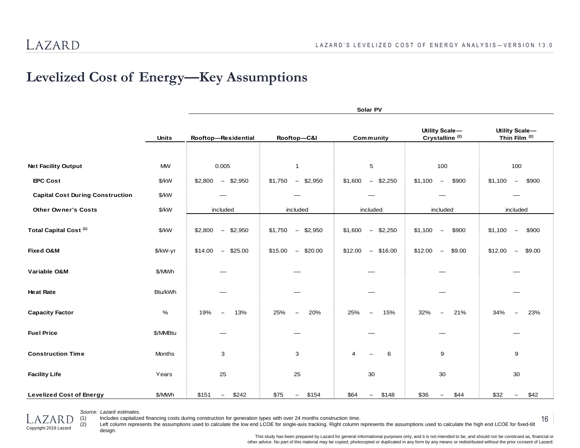## **Levelized Cost of Energy—Key Assumptions**

|                                         |               | Solar PV                       |                                           |                                        |                                              |                                                     |  |  |  |
|-----------------------------------------|---------------|--------------------------------|-------------------------------------------|----------------------------------------|----------------------------------------------|-----------------------------------------------------|--|--|--|
|                                         | <b>Units</b>  | Rooftop-Residential            | Rooftop-C&I                               | Community                              | Utility Scale-<br>Crystalline <sup>(2)</sup> | Utility Scale-<br>Thin Film <sup>(2)</sup>          |  |  |  |
|                                         |               |                                |                                           |                                        |                                              |                                                     |  |  |  |
| <b>Net Facility Output</b>              | MW            | 0.005                          | $\mathbf{1}$                              | 5                                      | 100                                          | 100                                                 |  |  |  |
| <b>EPC Cost</b>                         | \$/kW         | \$2,800<br>\$2,950<br>$\equiv$ | \$1,750<br>$-$ \$2,950                    | \$1,600<br>$-$ \$2,250                 | \$1,100<br>\$900<br>$\overline{\phantom{a}}$ | \$1,100<br>\$900<br>$\equiv$                        |  |  |  |
| <b>Capital Cost During Construction</b> | \$/kW         | <u>است.</u>                    |                                           |                                        |                                              |                                                     |  |  |  |
| <b>Other Owner's Costs</b>              | $\frac{K}{V}$ | included                       | included                                  | included                               | included                                     | included                                            |  |  |  |
| Total Capital Cost <sup>(1)</sup>       | $\frac{K}{V}$ | \$2,950<br>\$2,800<br>$\sim$   | \$1,750<br>\$2,950<br>$\frac{1}{2}$       | \$2,250<br>\$1,600<br>$\sim$           | \$1,100<br>\$900<br>$\sim$                   | \$900<br>\$1,100<br>$\hspace{0.1mm}-\hspace{0.1mm}$ |  |  |  |
| <b>Fixed O&amp;M</b>                    | \$/kW-yr      | \$25.00<br>\$14.00<br>$\sim$   | \$15.00<br>\$20.00<br>$\equiv$            | $-$ \$16.00<br>\$12.00                 | \$12.00<br>\$9.00<br>$-$                     | \$12.00<br>\$9.00<br>$\overline{\phantom{a}}$       |  |  |  |
| Variable O&M                            | \$/MWh        |                                |                                           |                                        |                                              |                                                     |  |  |  |
| <b>Heat Rate</b>                        | Btu/kWh       |                                |                                           |                                        |                                              |                                                     |  |  |  |
| <b>Capacity Factor</b>                  | %             | 13%<br>19%<br>$-$              | 20%<br>25%<br>$\frac{1}{2}$               | 25%<br>15%<br>$\overline{\phantom{m}}$ | 32%<br>21%<br>$\overline{\phantom{0}}$       | 34%<br>23%<br>$\overline{\phantom{m}}$              |  |  |  |
| <b>Fuel Price</b>                       | \$/MMBtu      |                                |                                           |                                        |                                              |                                                     |  |  |  |
| <b>Construction Time</b>                | <b>Months</b> | 3                              | 3                                         | $\overline{4}$<br>6<br>$\equiv$        | 9                                            | 9                                                   |  |  |  |
| <b>Facility Life</b>                    | Years         | 25                             | 25                                        | 30                                     | $30\,$                                       | 30                                                  |  |  |  |
| <b>Levelized Cost of Energy</b>         | \$/MWh        | \$151<br>\$242<br>$-$          | \$75<br>\$154<br>$\overline{\phantom{m}}$ | \$64<br>\$148<br>$\sim$                | \$36<br>\$44<br>$\overline{\phantom{a}}$     | \$32<br>\$42<br>$\overline{\phantom{m}}$            |  |  |  |



*Source: Lazard estimates.*

(1) Includes capitalized financing costs during construction for generation types with over 24 months construction time.

(2) Left column represents the assumptions used to calculate the low end LCOE for single-axis tracking. Right column represents the assumptions used to calculate the high end LCOE for fixed-tilt design.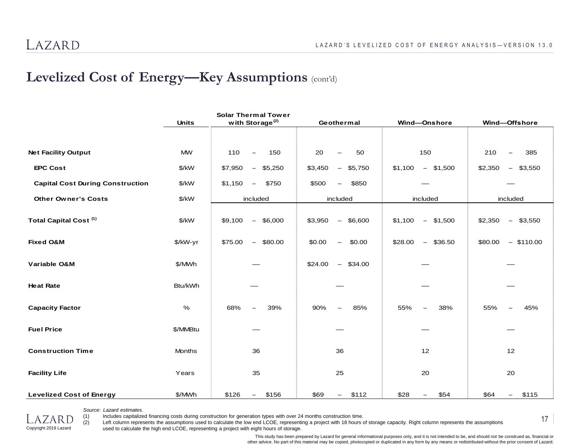#### **Levelized Cost of Energy—Key Assumptions** (cont'd)

|                                         |               | <b>Solar Thermal Tower</b>                   |                                                |                                                |                                                |
|-----------------------------------------|---------------|----------------------------------------------|------------------------------------------------|------------------------------------------------|------------------------------------------------|
|                                         | <b>Units</b>  | with Storage <sup>(2)</sup>                  | Geothermal                                     | Wind-Onshore                                   | Wind-Offshore                                  |
|                                         |               |                                              |                                                |                                                |                                                |
| <b>Net Facility Output</b>              | <b>MW</b>     | 110<br>150<br>$\overline{\phantom{m}}$       | 20<br>50<br>$\overline{\phantom{0}}$           | 150                                            | 210<br>385<br>$\overline{\phantom{m}}$         |
| <b>EPC Cost</b>                         | \$/kW         | \$7,950<br>\$5,250<br>$ \,$                  | \$3,450<br>\$5,750<br>$\overline{\phantom{m}}$ | \$1,500<br>\$1,100<br>$-$                      | \$2,350<br>\$3,550<br>$\overline{\phantom{m}}$ |
| <b>Capital Cost During Construction</b> | \$/kW         | \$1,150<br>\$750<br>$\overline{\phantom{m}}$ | \$850<br>\$500<br>$\qquad \qquad -$            |                                                |                                                |
| <b>Other Owner's Costs</b>              | $\frac{K}{V}$ | included                                     | included                                       | included                                       | included                                       |
| Total Capital Cost <sup>(1)</sup>       | \$/kW         | $-$ \$6,000<br>\$9,100                       | $-$ \$6,600<br>\$3,950                         | \$1,500<br>\$1,100<br>$\overline{\phantom{m}}$ | $-$ \$3,550<br>\$2,350                         |
| <b>Fixed O&amp;M</b>                    | \$/kW-yr      | \$75.00<br>\$80.00<br>$ \,$                  | \$0.00<br>\$0.00<br>$\overline{\phantom{m}}$   | \$36.50<br>\$28.00<br>$\overline{\phantom{m}}$ | $-$ \$110.00<br>\$80.00                        |
| Variable O&M                            | \$/MWh        |                                              | \$24.00<br>$-$ \$34.00                         |                                                |                                                |
| <b>Heat Rate</b>                        | Btu/kWh       |                                              |                                                |                                                |                                                |
| <b>Capacity Factor</b>                  | $\%$          | 68%<br>39%                                   | 85%<br>90%                                     | 55%<br>38%<br>—                                | 55%<br>45%                                     |
| <b>Fuel Price</b>                       | \$/MMBtu      |                                              |                                                |                                                |                                                |
| <b>Construction Time</b>                | Months        | 36                                           | 36                                             | 12                                             | 12                                             |
| <b>Facility Life</b>                    | Years         | 35                                           | 25                                             | 20                                             | 20                                             |
| <b>Levelized Cost of Energy</b>         | \$/MWh        | \$126<br>\$156<br>$-$                        | \$69<br>\$112<br>$ \,$                         | \$28<br>\$54<br>$\qquad \qquad -$              | \$64<br>\$115<br>$\overline{\phantom{a}}$      |

*Source: Lazard estimates.*

Copyright 2019 Lazard

(1) Includes capitalized financing costs during construction for generation types with over 24 months construction time.

(2) Left column represents the assumptions used to calculate the low end LCOE, representing a project with 18 hours of storage capacity. Right column represents the assumptions used to calculate the high end LCOE, representing a project with eight hours of storage.

> This study has been prepared by Lazard for general informational purposes only, and it is not intended to be, and should not be construed as, financial or other advice. No part of this material may be copied, photocopied or duplicated in any form by any means or redistributed without the prior consent of Lazard.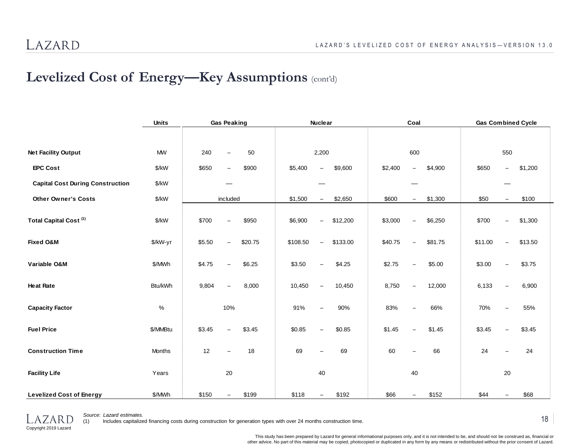## **Levelized Cost of Energy—Key Assumptions** (cont'd)

|                                         | <b>Units</b> | <b>Gas Peaking</b>                            | <b>Nuclear</b>                                 | Coal                                           | <b>Gas Combined Cycle</b>                    |
|-----------------------------------------|--------------|-----------------------------------------------|------------------------------------------------|------------------------------------------------|----------------------------------------------|
|                                         |              |                                               |                                                |                                                |                                              |
| <b>Net Facility Output</b>              | <b>MW</b>    | 240<br>50<br>$\equiv$                         | 2,200                                          | 600                                            | 550                                          |
| <b>EPC Cost</b>                         | \$/kW        | \$650<br>\$900<br>$\overline{\phantom{m}}$    | \$5,400<br>\$9,600<br>$\overline{\phantom{0}}$ | \$2,400<br>\$4,900<br>$\overline{\phantom{0}}$ | \$650<br>\$1,200<br>$\overline{\phantom{0}}$ |
| <b>Capital Cost During Construction</b> | \$/kW        |                                               |                                                |                                                |                                              |
| <b>Other Owner's Costs</b>              | \$/kW        | included                                      | \$1,500<br>\$2,650<br>$\qquad \qquad -$        | \$1,300<br>\$600<br>$-$                        | \$50<br>\$100<br>$\overline{\phantom{0}}$    |
| Total Capital Cost <sup>(1)</sup>       | \$/kW        | \$700<br>\$950<br>$\overline{\phantom{m}}$    | \$6,900<br>\$12,200                            | \$3,000<br>\$6,250<br>$\overline{\phantom{0}}$ | \$700<br>\$1,300                             |
| <b>Fixed O&amp;M</b>                    | \$/kW-yr     | \$5.50<br>\$20.75<br>$\overline{\phantom{0}}$ | \$108.50<br>\$133.00                           | \$40.75<br>\$81.75<br>$\overline{\phantom{0}}$ | \$11.00<br>\$13.50                           |
| Variable O&M                            | \$/MWh       | \$4.75<br>\$6.25                              | \$4.25<br>\$3.50                               | \$2.75<br>\$5.00                               | \$3.00<br>\$3.75                             |
| <b>Heat Rate</b>                        | Btu/kWh      | 9,804<br>8,000<br>$\overline{\phantom{0}}$    | 10,450<br>10,450                               | 8,750<br>12,000<br>$\overline{\phantom{0}}$    | 6,133<br>6,900                               |
| <b>Capacity Factor</b>                  | $\%$         | 10%                                           | 91%<br>90%                                     | 83%<br>66%                                     | 55%<br>70%                                   |
| <b>Fuel Price</b>                       | \$/MMBtu     | \$3.45<br>\$3.45<br>$\overline{\phantom{0}}$  | \$0.85<br>\$0.85                               | \$1.45<br>\$1.45<br>$\overline{\phantom{0}}$   | \$3.45<br>\$3.45<br>$\equiv$                 |
| <b>Construction Time</b>                | Months       | 12<br>18                                      | 69<br>69                                       | 66<br>60                                       | 24<br>24                                     |
| <b>Facility Life</b>                    | Years        | 20                                            | 40                                             | 40                                             | 20                                           |
| <b>Levelized Cost of Energy</b>         | \$/MWh       | \$150<br>\$199                                | \$118<br>\$192                                 | \$66<br>\$152                                  | \$44<br>\$68                                 |



*Source: Lazard estimates.*

(1) Includes capitalized financing costs during construction for generation types with over 24 months construction time.